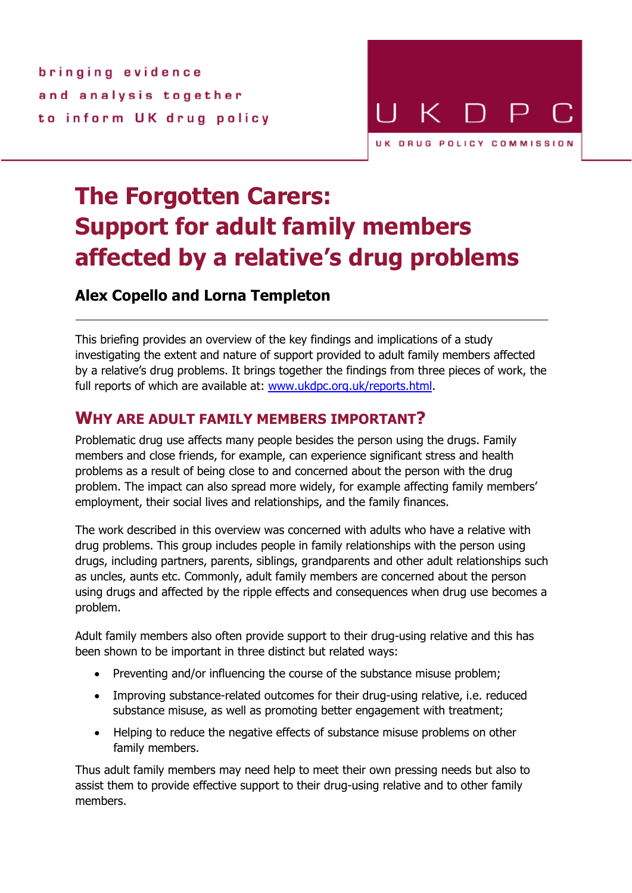bringing evidence and analysis together to inform UK drug policy



# **The Forgotten Carers: Support for adult family members affected by a relative's drug problems**

# **Alex Copello and Lorna Templeton**

This briefing provides an overview of the key findings and implications of a study investigating the extent and nature of support provided to adult family members affected by a relative's drug problems. It brings together the findings from three pieces of work, the full reports of which are available at: www.ukdpc.org.uk/reports.html.

# **WHY ARE ADULT FAMILY MEMBERS IMPORTANT?**

Problematic drug use affects many people besides the person using the drugs. Family members and close friends, for example, can experience significant stress and health problems as a result of being close to and concerned about the person with the drug problem. The impact can also spread more widely, for example affecting family members' employment, their social lives and relationships, and the family finances.

The work described in this overview was concerned with adults who have a relative with drug problems. This group includes people in family relationships with the person using drugs, including partners, parents, siblings, grandparents and other adult relationships such as uncles, aunts etc. Commonly, adult family members are concerned about the person using drugs and affected by the ripple effects and consequences when drug use becomes a problem.

Adult family members also often provide support to their drug-using relative and this has been shown to be important in three distinct but related ways:

- Preventing and/or influencing the course of the substance misuse problem;
- Improving substance-related outcomes for their drug-using relative, i.e. reduced substance misuse, as well as promoting better engagement with treatment;
- Helping to reduce the negative effects of substance misuse problems on other family members.

Thus adult family members may need help to meet their own pressing needs but also to assist them to provide effective support to their drug-using relative and to other family members.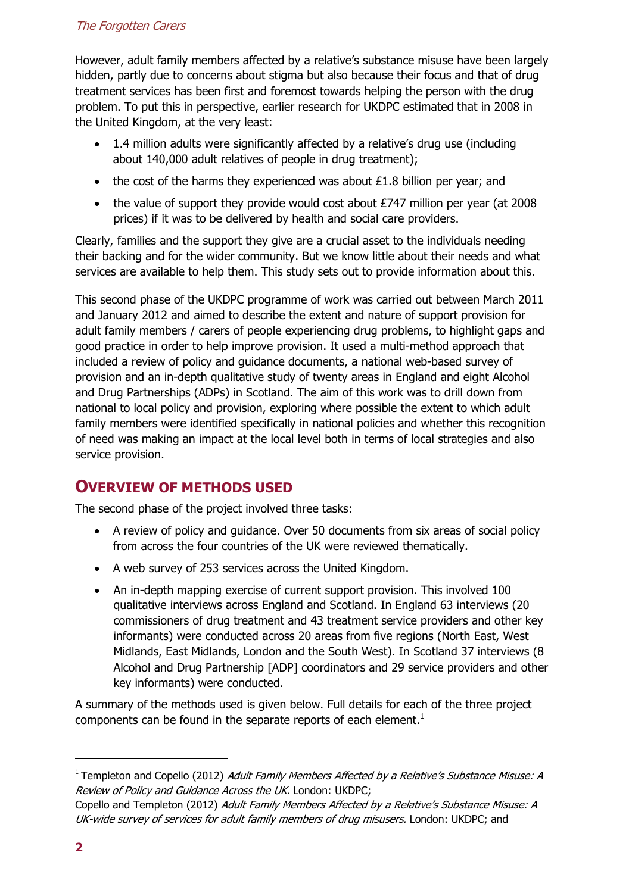# The Forgotten Carers

However, adult family members affected by a relative's substance misuse have been largely hidden, partly due to concerns about stigma but also because their focus and that of drug treatment services has been first and foremost towards helping the person with the drug problem. To put this in perspective, earlier research for UKDPC estimated that in 2008 in the United Kingdom, at the very least:

- 1.4 million adults were significantly affected by a relative's drug use (including about 140,000 adult relatives of people in drug treatment);
- the cost of the harms they experienced was about  $£1.8$  billion per year; and
- the value of support they provide would cost about £747 million per year (at 2008) prices) if it was to be delivered by health and social care providers.

Clearly, families and the support they give are a crucial asset to the individuals needing their backing and for the wider community. But we know little about their needs and what services are available to help them. This study sets out to provide information about this.

This second phase of the UKDPC programme of work was carried out between March 2011 and January 2012 and aimed to describe the extent and nature of support provision for adult family members / carers of people experiencing drug problems, to highlight gaps and good practice in order to help improve provision. It used a multi-method approach that included a review of policy and guidance documents, a national web-based survey of provision and an in-depth qualitative study of twenty areas in England and eight Alcohol and Drug Partnerships (ADPs) in Scotland. The aim of this work was to drill down from national to local policy and provision, exploring where possible the extent to which adult family members were identified specifically in national policies and whether this recognition of need was making an impact at the local level both in terms of local strategies and also service provision.

# **OVERVIEW OF METHODS USED**

The second phase of the project involved three tasks:

- A review of policy and guidance. Over 50 documents from six areas of social policy from across the four countries of the UK were reviewed thematically.
- A web survey of 253 services across the United Kingdom.
- An in-depth mapping exercise of current support provision. This involved 100 qualitative interviews across England and Scotland. In England 63 interviews (20 commissioners of drug treatment and 43 treatment service providers and other key informants) were conducted across 20 areas from five regions (North East, West Midlands, East Midlands, London and the South West). In Scotland 37 interviews (8 Alcohol and Drug Partnership [ADP] coordinators and 29 service providers and other key informants) were conducted.

A summary of the methods used is given below. Full details for each of the three project components can be found in the separate reports of each element. $<sup>1</sup>$ </sup>

l

<sup>&</sup>lt;sup>1</sup> Templeton and Copello (2012) *Adult Family Members Affected by a Relative's Substance Misuse: A* Review of Policy and Guidance Across the UK. London: UKDPC;

Copello and Templeton (2012) Adult Family Members Affected by a Relative's Substance Misuse: A UK-wide survey of services for adult family members of drug misusers. London: UKDPC; and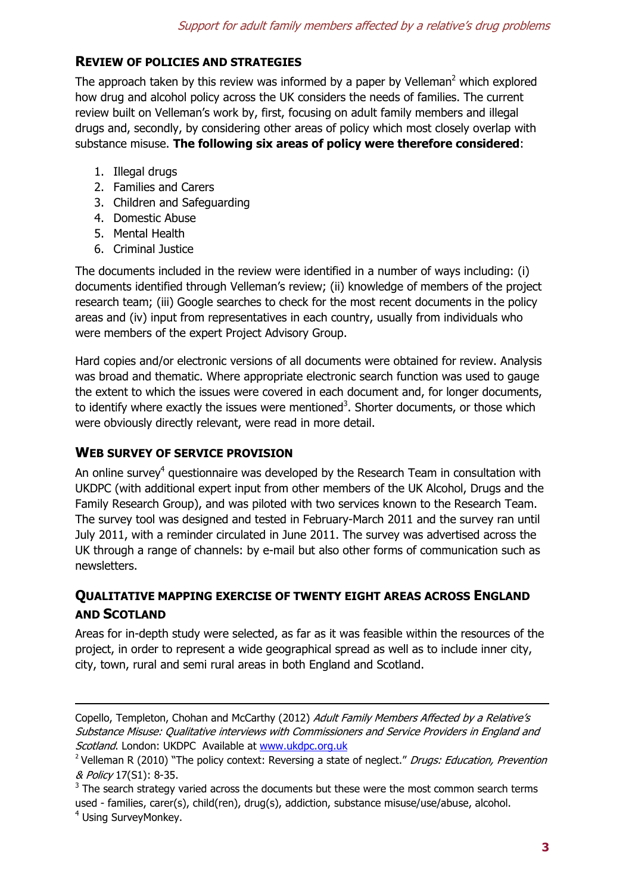# **REVIEW OF POLICIES AND STRATEGIES**

The approach taken by this review was informed by a paper by Velleman<sup>2</sup> which explored how drug and alcohol policy across the UK considers the needs of families. The current review built on Velleman's work by, first, focusing on adult family members and illegal drugs and, secondly, by considering other areas of policy which most closely overlap with substance misuse. **The following six areas of policy were therefore considered**:

- 1. Illegal drugs
- 2. Families and Carers
- 3. Children and Safeguarding
- 4. Domestic Abuse
- 5. Mental Health
- 6. Criminal Justice

The documents included in the review were identified in a number of ways including: (i) documents identified through Velleman's review; (ii) knowledge of members of the project research team; (iii) Google searches to check for the most recent documents in the policy areas and (iv) input from representatives in each country, usually from individuals who were members of the expert Project Advisory Group.

Hard copies and/or electronic versions of all documents were obtained for review. Analysis was broad and thematic. Where appropriate electronic search function was used to gauge the extent to which the issues were covered in each document and, for longer documents, to identify where exactly the issues were mentioned<sup>3</sup>. Shorter documents, or those which were obviously directly relevant, were read in more detail.

# **WEB SURVEY OF SERVICE PROVISION**

-

An online survey<sup>4</sup> questionnaire was developed by the Research Team in consultation with UKDPC (with additional expert input from other members of the UK Alcohol, Drugs and the Family Research Group), and was piloted with two services known to the Research Team. The survey tool was designed and tested in February-March 2011 and the survey ran until July 2011, with a reminder circulated in June 2011. The survey was advertised across the UK through a range of channels: by e-mail but also other forms of communication such as newsletters.

# **QUALITATIVE MAPPING EXERCISE OF TWENTY EIGHT AREAS ACROSS ENGLAND AND SCOTLAND**

Areas for in-depth study were selected, as far as it was feasible within the resources of the project, in order to represent a wide geographical spread as well as to include inner city, city, town, rural and semi rural areas in both England and Scotland.

Copello, Templeton, Chohan and McCarthy (2012) Adult Family Members Affected by a Relative's Substance Misuse: Qualitative interviews with Commissioners and Service Providers in England and Scotland. London: UKDPC Available at www.ukdpc.org.uk

<sup>&</sup>lt;sup>2</sup> Velleman R (2010) "The policy context: Reversing a state of neglect." Drugs: Education, Prevention & Policy 17(S1): 8-35.

 $3$  The search strategy varied across the documents but these were the most common search terms used - families, carer(s), child(ren), drug(s), addiction, substance misuse/use/abuse, alcohol. <sup>4</sup> Using SurveyMonkey.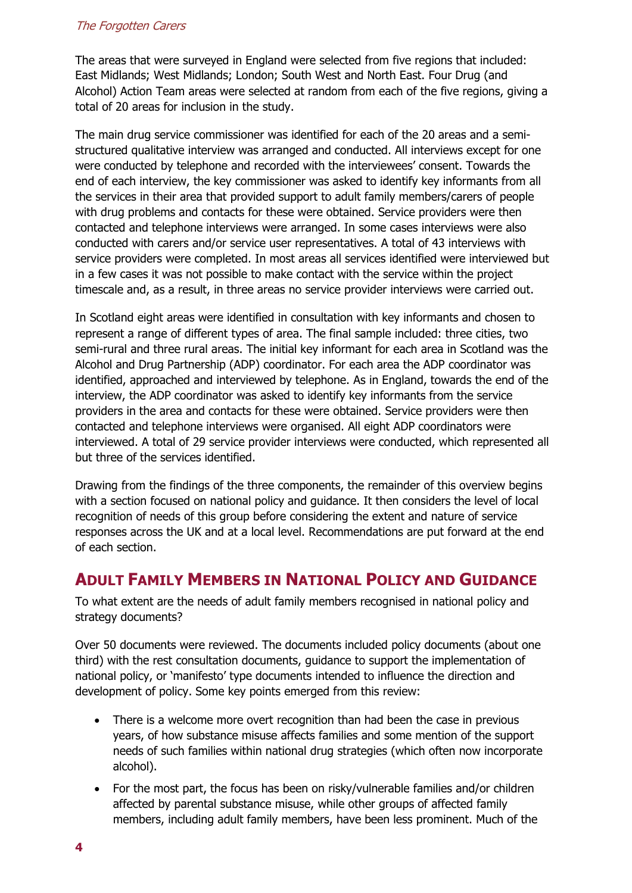#### The Forgotten Carers

The areas that were surveyed in England were selected from five regions that included: East Midlands; West Midlands; London; South West and North East. Four Drug (and Alcohol) Action Team areas were selected at random from each of the five regions, giving a total of 20 areas for inclusion in the study.

The main drug service commissioner was identified for each of the 20 areas and a semistructured qualitative interview was arranged and conducted. All interviews except for one were conducted by telephone and recorded with the interviewees' consent. Towards the end of each interview, the key commissioner was asked to identify key informants from all the services in their area that provided support to adult family members/carers of people with drug problems and contacts for these were obtained. Service providers were then contacted and telephone interviews were arranged. In some cases interviews were also conducted with carers and/or service user representatives. A total of 43 interviews with service providers were completed. In most areas all services identified were interviewed but in a few cases it was not possible to make contact with the service within the project timescale and, as a result, in three areas no service provider interviews were carried out.

In Scotland eight areas were identified in consultation with key informants and chosen to represent a range of different types of area. The final sample included: three cities, two semi-rural and three rural areas. The initial key informant for each area in Scotland was the Alcohol and Drug Partnership (ADP) coordinator. For each area the ADP coordinator was identified, approached and interviewed by telephone. As in England, towards the end of the interview, the ADP coordinator was asked to identify key informants from the service providers in the area and contacts for these were obtained. Service providers were then contacted and telephone interviews were organised. All eight ADP coordinators were interviewed. A total of 29 service provider interviews were conducted, which represented all but three of the services identified.

Drawing from the findings of the three components, the remainder of this overview begins with a section focused on national policy and guidance. It then considers the level of local recognition of needs of this group before considering the extent and nature of service responses across the UK and at a local level. Recommendations are put forward at the end of each section.

# **ADULT FAMILY MEMBERS IN NATIONAL POLICY AND GUIDANCE**

To what extent are the needs of adult family members recognised in national policy and strategy documents?

Over 50 documents were reviewed. The documents included policy documents (about one third) with the rest consultation documents, guidance to support the implementation of national policy, or 'manifesto' type documents intended to influence the direction and development of policy. Some key points emerged from this review:

- There is a welcome more overt recognition than had been the case in previous years, of how substance misuse affects families and some mention of the support needs of such families within national drug strategies (which often now incorporate alcohol).
- For the most part, the focus has been on risky/vulnerable families and/or children affected by parental substance misuse, while other groups of affected family members, including adult family members, have been less prominent. Much of the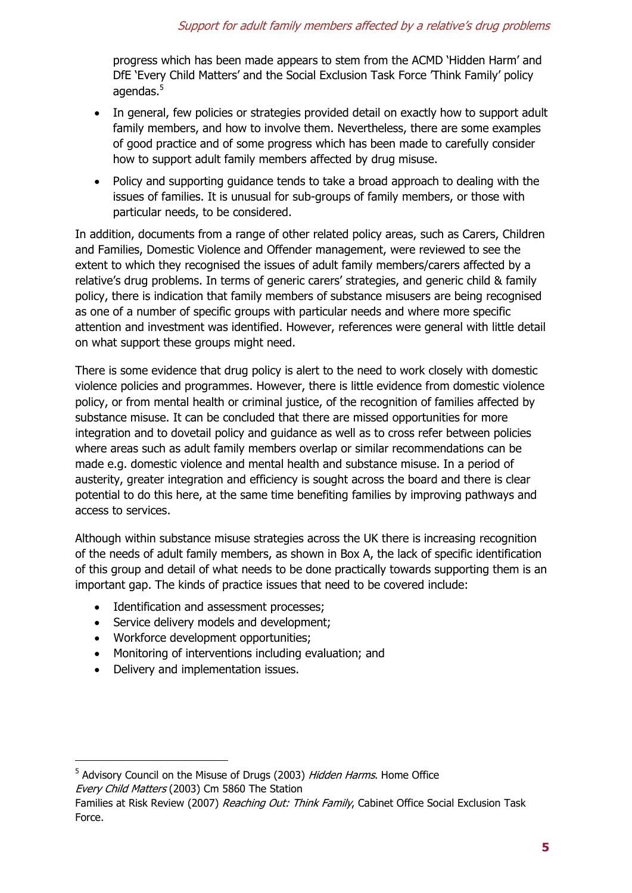# Support for adult family members affected by a relative's drug problems

progress which has been made appears to stem from the ACMD 'Hidden Harm' and DfE 'Every Child Matters' and the Social Exclusion Task Force 'Think Family' policy agendas. $^5\,$ 

- In general, few policies or strategies provided detail on exactly how to support adult family members, and how to involve them. Nevertheless, there are some examples of good practice and of some progress which has been made to carefully consider how to support adult family members affected by drug misuse.
- Policy and supporting guidance tends to take a broad approach to dealing with the issues of families. It is unusual for sub-groups of family members, or those with particular needs, to be considered.

In addition, documents from a range of other related policy areas, such as Carers, Children and Families, Domestic Violence and Offender management, were reviewed to see the extent to which they recognised the issues of adult family members/carers affected by a relative's drug problems. In terms of generic carers' strategies, and generic child & family policy, there is indication that family members of substance misusers are being recognised as one of a number of specific groups with particular needs and where more specific attention and investment was identified. However, references were general with little detail on what support these groups might need.

There is some evidence that drug policy is alert to the need to work closely with domestic violence policies and programmes. However, there is little evidence from domestic violence policy, or from mental health or criminal justice, of the recognition of families affected by substance misuse. It can be concluded that there are missed opportunities for more integration and to dovetail policy and guidance as well as to cross refer between policies where areas such as adult family members overlap or similar recommendations can be made e.g. domestic violence and mental health and substance misuse. In a period of austerity, greater integration and efficiency is sought across the board and there is clear potential to do this here, at the same time benefiting families by improving pathways and access to services.

Although within substance misuse strategies across the UK there is increasing recognition of the needs of adult family members, as shown in Box A, the lack of specific identification of this group and detail of what needs to be done practically towards supporting them is an important gap. The kinds of practice issues that need to be covered include:

- Identification and assessment processes;
- Service delivery models and development;
- Workforce development opportunities;
- Monitoring of interventions including evaluation; and
- Delivery and implementation issues.

1

<sup>&</sup>lt;sup>5</sup> Advisory Council on the Misuse of Drugs (2003) *Hidden Harms*. Home Office Every Child Matters (2003) Cm 5860 The Station

Families at Risk Review (2007) Reaching Out: Think Family, Cabinet Office Social Exclusion Task Force.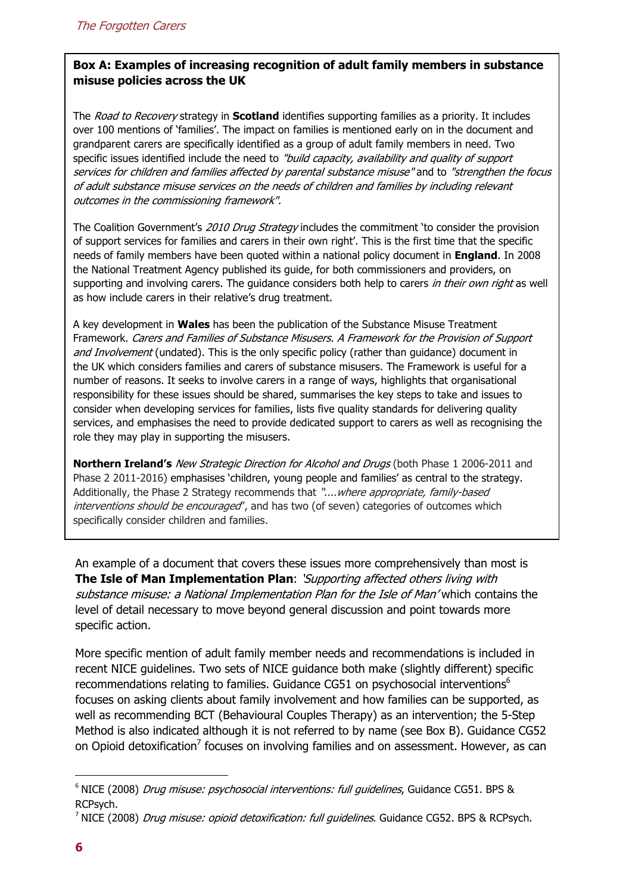# **Box A: Examples of increasing recognition of adult family members in substance misuse policies across the UK**

The Road to Recovery strategy in **Scotland** identifies supporting families as a priority. It includes over 100 mentions of 'families'. The impact on families is mentioned early on in the document and grandparent carers are specifically identified as a group of adult family members in need. Two specific issues identified include the need to "build capacity, availability and quality of support services for children and families affected by parental substance misuse" and to "strengthen the focus of adult substance misuse services on the needs of children and families by including relevant outcomes in the commissioning framework".

The Coalition Government's 2010 Drug Strategy includes the commitment 'to consider the provision of support services for families and carers in their own right'. This is the first time that the specific needs of family members have been quoted within a national policy document in **England**. In 2008 the National Treatment Agency published its guide, for both commissioners and providers, on supporting and involving carers. The guidance considers both help to carers in their own right as well as how include carers in their relative's drug treatment.

A key development in **Wales** has been the publication of the Substance Misuse Treatment Framework. Carers and Families of Substance Misusers. A Framework for the Provision of Support and Involvement (undated). This is the only specific policy (rather than guidance) document in the UK which considers families and carers of substance misusers. The Framework is useful for a number of reasons. It seeks to involve carers in a range of ways, highlights that organisational responsibility for these issues should be shared, summarises the key steps to take and issues to consider when developing services for families, lists five quality standards for delivering quality services, and emphasises the need to provide dedicated support to carers as well as recognising the role they may play in supporting the misusers.

**Northern Ireland's** New Strategic Direction for Alcohol and Drugs (both Phase 1 2006-2011 and Phase 2 2011-2016) emphasises 'children, young people and families' as central to the strategy. Additionally, the Phase 2 Strategy recommends that "....where appropriate, family-based interventions should be encouraged', and has two (of seven) categories of outcomes which specifically consider children and families.

An example of a document that covers these issues more comprehensively than most is **The Isle of Man Implementation Plan**: 'Supporting affected others living with substance misuse: a National Implementation Plan for the Isle of Man' which contains the level of detail necessary to move beyond general discussion and point towards more specific action.

More specific mention of adult family member needs and recommendations is included in recent NICE guidelines. Two sets of NICE guidance both make (slightly different) specific recommendations relating to families. Guidance CG51 on psychosocial interventions $^6$ focuses on asking clients about family involvement and how families can be supported, as well as recommending BCT (Behavioural Couples Therapy) as an intervention; the 5-Step Method is also indicated although it is not referred to by name (see Box B). Guidance CG52 on Opioid detoxification<sup>7</sup> focuses on involving families and on assessment. However, as can

l

<sup>&</sup>lt;sup>6</sup> NICE (2008) *Drug misuse: psychosocial interventions: full guidelines*, Guidance CG51. BPS & RCPsych.

<sup>&</sup>lt;sup>7</sup> NICE (2008) *Drug misuse: opioid detoxification: full guidelines*. Guidance CG52. BPS & RCPsych.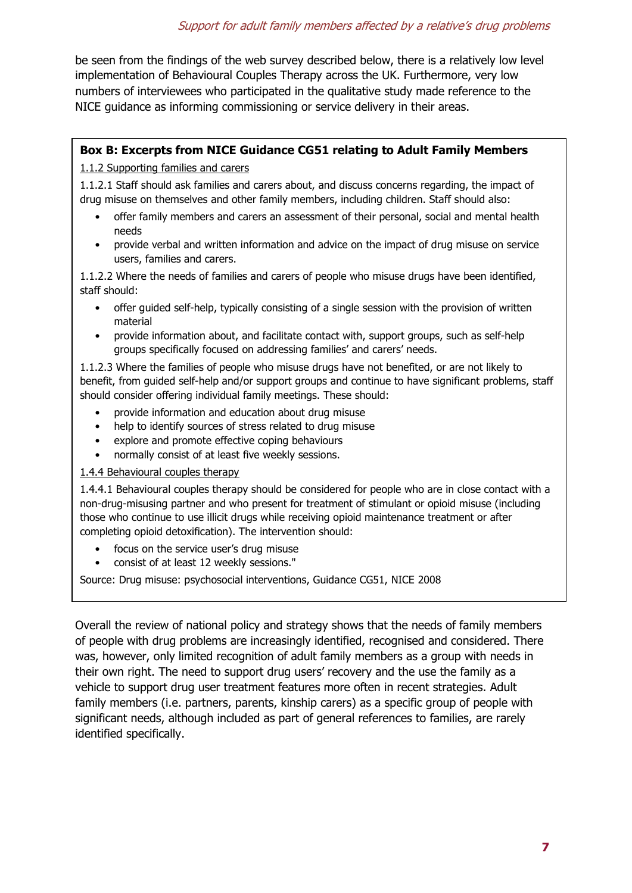be seen from the findings of the web survey described below, there is a relatively low level implementation of Behavioural Couples Therapy across the UK. Furthermore, very low numbers of interviewees who participated in the qualitative study made reference to the NICE guidance as informing commissioning or service delivery in their areas.

# **Box B: Excerpts from NICE Guidance CG51 relating to Adult Family Members**

#### 1.1.2 Supporting families and carers

1.1.2.1 Staff should ask families and carers about, and discuss concerns regarding, the impact of drug misuse on themselves and other family members, including children. Staff should also:

- offer family members and carers an assessment of their personal, social and mental health needs
- provide verbal and written information and advice on the impact of drug misuse on service users, families and carers.

1.1.2.2 Where the needs of families and carers of people who misuse drugs have been identified, staff should:

- offer guided self-help, typically consisting of a single session with the provision of written material
- provide information about, and facilitate contact with, support groups, such as self-help groups specifically focused on addressing families' and carers' needs.

1.1.2.3 Where the families of people who misuse drugs have not benefited, or are not likely to benefit, from guided self-help and/or support groups and continue to have significant problems, staff should consider offering individual family meetings. These should:

- provide information and education about drug misuse
- help to identify sources of stress related to drug misuse
- explore and promote effective coping behaviours
- normally consist of at least five weekly sessions.

#### 1.4.4 Behavioural couples therapy

1.4.4.1 Behavioural couples therapy should be considered for people who are in close contact with a non-drug-misusing partner and who present for treatment of stimulant or opioid misuse (including those who continue to use illicit drugs while receiving opioid maintenance treatment or after completing opioid detoxification). The intervention should:

- focus on the service user's drug misuse
- consist of at least 12 weekly sessions."

Source: Drug misuse: psychosocial interventions, Guidance CG51, NICE 2008

Overall the review of national policy and strategy shows that the needs of family members of people with drug problems are increasingly identified, recognised and considered. There was, however, only limited recognition of adult family members as a group with needs in their own right. The need to support drug users' recovery and the use the family as a vehicle to support drug user treatment features more often in recent strategies. Adult family members (i.e. partners, parents, kinship carers) as a specific group of people with significant needs, although included as part of general references to families, are rarely identified specifically.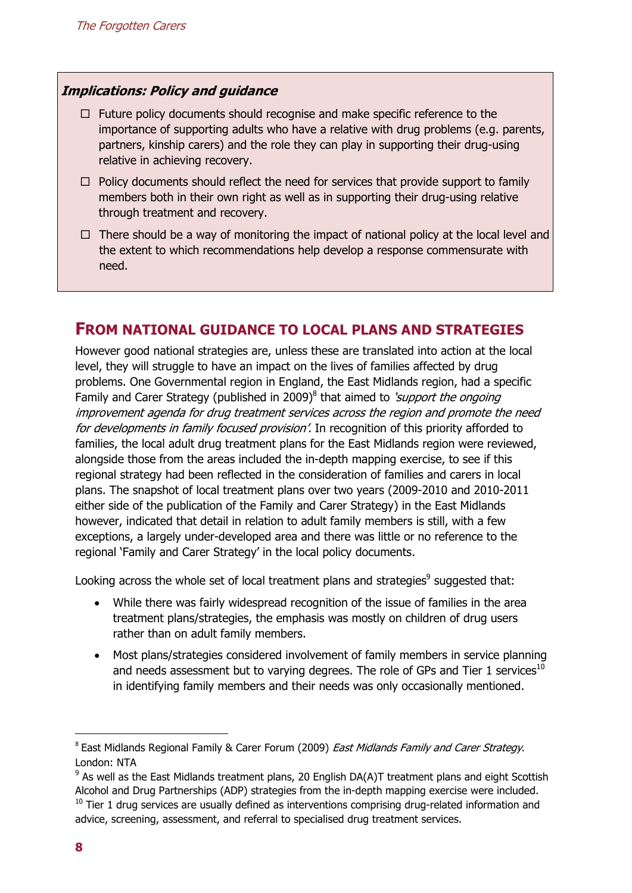## **Implications: Policy and guidance**

- $\Box$  Future policy documents should recognise and make specific reference to the importance of supporting adults who have a relative with drug problems (e.g. parents, partners, kinship carers) and the role they can play in supporting their drug-using relative in achieving recovery.
- $\Box$  Policy documents should reflect the need for services that provide support to family members both in their own right as well as in supporting their drug-using relative through treatment and recovery.
- $\Box$  There should be a way of monitoring the impact of national policy at the local level and the extent to which recommendations help develop a response commensurate with need.

# **FROM NATIONAL GUIDANCE TO LOCAL PLANS AND STRATEGIES**

However good national strategies are, unless these are translated into action at the local level, they will struggle to have an impact on the lives of families affected by drug problems. One Governmental region in England, the East Midlands region, had a specific Family and Carer Strategy (published in 2009)<sup>8</sup> that aimed to 'support the ongoing improvement agenda for drug treatment services across the region and promote the need for developments in family focused provision'. In recognition of this priority afforded to families, the local adult drug treatment plans for the East Midlands region were reviewed, alongside those from the areas included the in-depth mapping exercise, to see if this regional strategy had been reflected in the consideration of families and carers in local plans. The snapshot of local treatment plans over two years (2009-2010 and 2010-2011 either side of the publication of the Family and Carer Strategy) in the East Midlands however, indicated that detail in relation to adult family members is still, with a few exceptions, a largely under-developed area and there was little or no reference to the regional 'Family and Carer Strategy' in the local policy documents.

Looking across the whole set of local treatment plans and strategies $^9$  suggested that:

- While there was fairly widespread recognition of the issue of families in the area treatment plans/strategies, the emphasis was mostly on children of drug users rather than on adult family members.
- Most plans/strategies considered involvement of family members in service planning and needs assessment but to varying degrees. The role of GPs and Tier 1 services<sup>10</sup> in identifying family members and their needs was only occasionally mentioned.

1

<sup>&</sup>lt;sup>8</sup> East Midlands Regional Family & Carer Forum (2009) *East Midlands Family and Carer Strategy*. London: NTA

 $9$  As well as the East Midlands treatment plans, 20 English DA(A)T treatment plans and eight Scottish Alcohol and Drug Partnerships (ADP) strategies from the in-depth mapping exercise were included.  $10$  Tier 1 drug services are usually defined as interventions comprising drug-related information and advice, screening, assessment, and referral to specialised drug treatment services.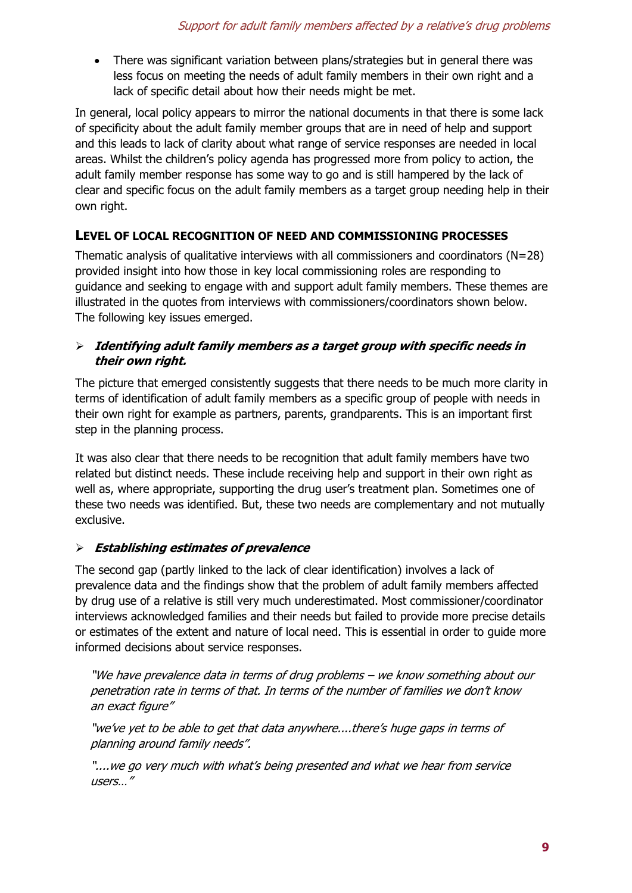• There was significant variation between plans/strategies but in general there was less focus on meeting the needs of adult family members in their own right and a lack of specific detail about how their needs might be met.

In general, local policy appears to mirror the national documents in that there is some lack of specificity about the adult family member groups that are in need of help and support and this leads to lack of clarity about what range of service responses are needed in local areas. Whilst the children's policy agenda has progressed more from policy to action, the adult family member response has some way to go and is still hampered by the lack of clear and specific focus on the adult family members as a target group needing help in their own right.

# **LEVEL OF LOCAL RECOGNITION OF NEED AND COMMISSIONING PROCESSES**

Thematic analysis of qualitative interviews with all commissioners and coordinators ( $N=28$ ) provided insight into how those in key local commissioning roles are responding to guidance and seeking to engage with and support adult family members. These themes are illustrated in the quotes from interviews with commissioners/coordinators shown below. The following key issues emerged.

# - **Identifying adult family members as a target group with specific needs in their own right.**

The picture that emerged consistently suggests that there needs to be much more clarity in terms of identification of adult family members as a specific group of people with needs in their own right for example as partners, parents, grandparents. This is an important first step in the planning process.

It was also clear that there needs to be recognition that adult family members have two related but distinct needs. These include receiving help and support in their own right as well as, where appropriate, supporting the drug user's treatment plan. Sometimes one of these two needs was identified. But, these two needs are complementary and not mutually exclusive.

# - **Establishing estimates of prevalence**

The second gap (partly linked to the lack of clear identification) involves a lack of prevalence data and the findings show that the problem of adult family members affected by drug use of a relative is still very much underestimated. Most commissioner/coordinator interviews acknowledged families and their needs but failed to provide more precise details or estimates of the extent and nature of local need. This is essential in order to guide more informed decisions about service responses.

"We have prevalence data in terms of drug problems – we know something about our penetration rate in terms of that. In terms of the number of families we don't know an exact figure"

"we've yet to be able to get that data anywhere....there's huge gaps in terms of planning around family needs".

"....we go very much with what's being presented and what we hear from service users…"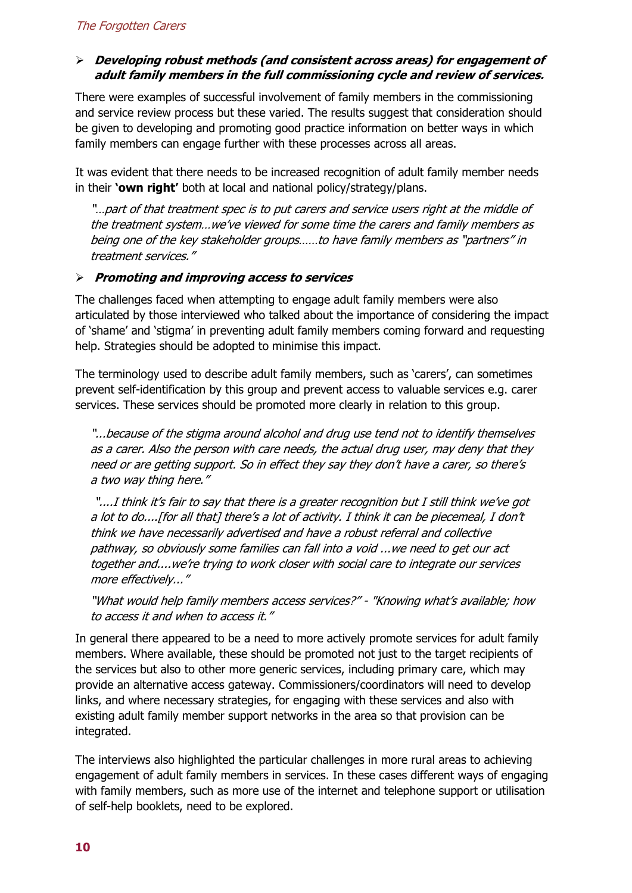## - **Developing robust methods (and consistent across areas) for engagement of adult family members in the full commissioning cycle and review of services.**

There were examples of successful involvement of family members in the commissioning and service review process but these varied. The results suggest that consideration should be given to developing and promoting good practice information on better ways in which family members can engage further with these processes across all areas.

It was evident that there needs to be increased recognition of adult family member needs in their **'own right'** both at local and national policy/strategy/plans.

"…part of that treatment spec is to put carers and service users right at the middle of the treatment system…we've viewed for some time the carers and family members as being one of the key stakeholder groups……to have family members as "partners" in treatment services."

## - **Promoting and improving access to services**

The challenges faced when attempting to engage adult family members were also articulated by those interviewed who talked about the importance of considering the impact of 'shame' and 'stigma' in preventing adult family members coming forward and requesting help. Strategies should be adopted to minimise this impact.

The terminology used to describe adult family members, such as 'carers', can sometimes prevent self-identification by this group and prevent access to valuable services e.g. carer services. These services should be promoted more clearly in relation to this group.

"...because of the stigma around alcohol and drug use tend not to identify themselves as a carer. Also the person with care needs, the actual drug user, may deny that they need or are getting support. So in effect they say they don't have a carer, so there's a two way thing here."

 "....I think it's fair to say that there is a greater recognition but I still think we've got a lot to do....[for all that] there's a lot of activity. I think it can be piecemeal, I don't think we have necessarily advertised and have a robust referral and collective pathway, so obviously some families can fall into a void ...we need to get our act together and....we're trying to work closer with social care to integrate our services more effectively..."

"What would help family members access services?" - "Knowing what's available; how to access it and when to access it."

In general there appeared to be a need to more actively promote services for adult family members. Where available, these should be promoted not just to the target recipients of the services but also to other more generic services, including primary care, which may provide an alternative access gateway. Commissioners/coordinators will need to develop links, and where necessary strategies, for engaging with these services and also with existing adult family member support networks in the area so that provision can be integrated.

The interviews also highlighted the particular challenges in more rural areas to achieving engagement of adult family members in services. In these cases different ways of engaging with family members, such as more use of the internet and telephone support or utilisation of self-help booklets, need to be explored.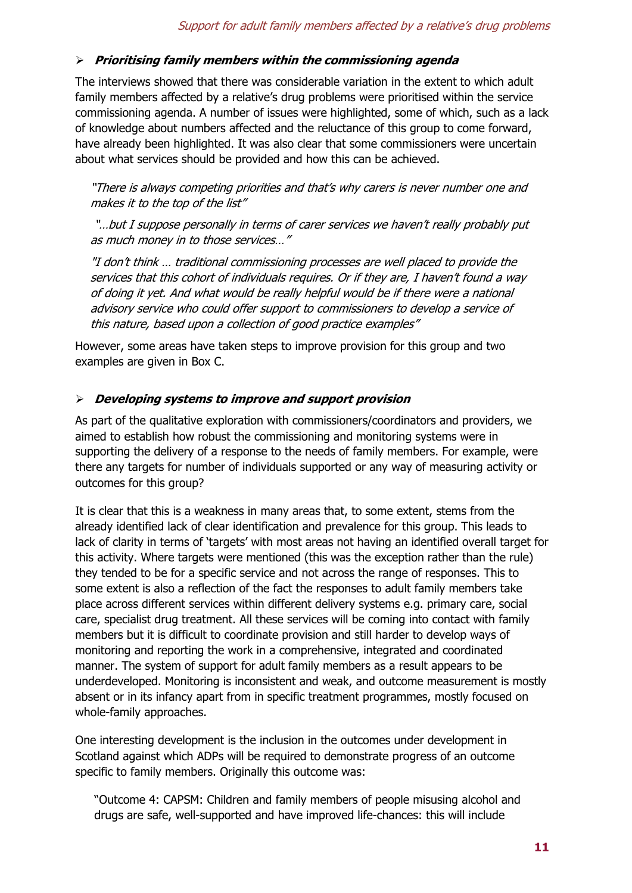# - **Prioritising family members within the commissioning agenda**

The interviews showed that there was considerable variation in the extent to which adult family members affected by a relative's drug problems were prioritised within the service commissioning agenda. A number of issues were highlighted, some of which, such as a lack of knowledge about numbers affected and the reluctance of this group to come forward, have already been highlighted. It was also clear that some commissioners were uncertain about what services should be provided and how this can be achieved.

"There is always competing priorities and that's why carers is never number one and makes it to the top of the list"

 "…but I suppose personally in terms of carer services we haven't really probably put as much money in to those services…"

"I don't think … traditional commissioning processes are well placed to provide the services that this cohort of individuals requires. Or if they are, I haven't found a way of doing it yet. And what would be really helpful would be if there were a national advisory service who could offer support to commissioners to develop a service of this nature, based upon a collection of good practice examples"

However, some areas have taken steps to improve provision for this group and two examples are given in Box C.

## - **Developing systems to improve and support provision**

As part of the qualitative exploration with commissioners/coordinators and providers, we aimed to establish how robust the commissioning and monitoring systems were in supporting the delivery of a response to the needs of family members. For example, were there any targets for number of individuals supported or any way of measuring activity or outcomes for this group?

It is clear that this is a weakness in many areas that, to some extent, stems from the already identified lack of clear identification and prevalence for this group. This leads to lack of clarity in terms of 'targets' with most areas not having an identified overall target for this activity. Where targets were mentioned (this was the exception rather than the rule) they tended to be for a specific service and not across the range of responses. This to some extent is also a reflection of the fact the responses to adult family members take place across different services within different delivery systems e.g. primary care, social care, specialist drug treatment. All these services will be coming into contact with family members but it is difficult to coordinate provision and still harder to develop ways of monitoring and reporting the work in a comprehensive, integrated and coordinated manner. The system of support for adult family members as a result appears to be underdeveloped. Monitoring is inconsistent and weak, and outcome measurement is mostly absent or in its infancy apart from in specific treatment programmes, mostly focused on whole-family approaches.

One interesting development is the inclusion in the outcomes under development in Scotland against which ADPs will be required to demonstrate progress of an outcome specific to family members. Originally this outcome was:

"Outcome 4: CAPSM: Children and family members of people misusing alcohol and drugs are safe, well-supported and have improved life-chances: this will include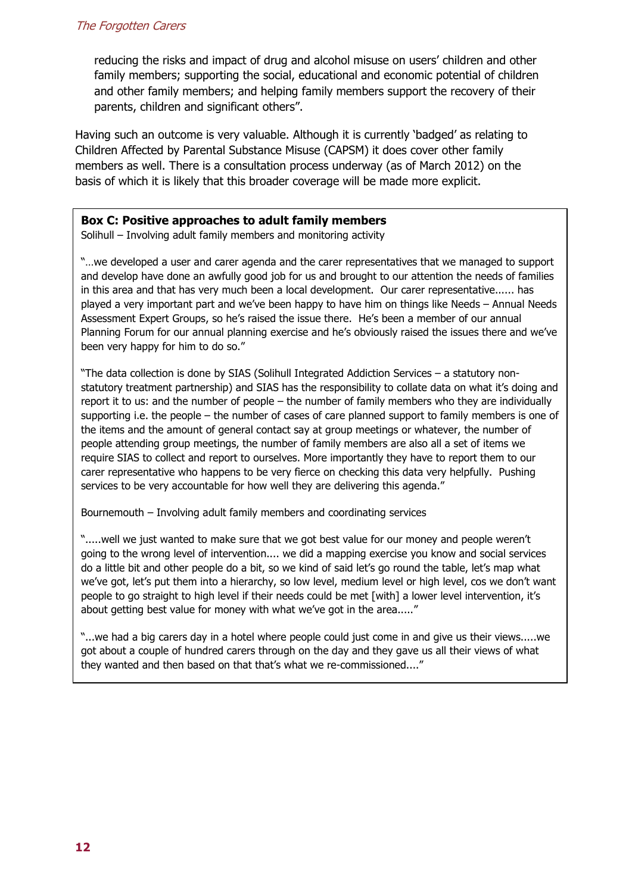reducing the risks and impact of drug and alcohol misuse on users' children and other family members; supporting the social, educational and economic potential of children and other family members; and helping family members support the recovery of their parents, children and significant others".

Having such an outcome is very valuable. Although it is currently 'badged' as relating to Children Affected by Parental Substance Misuse (CAPSM) it does cover other family members as well. There is a consultation process underway (as of March 2012) on the basis of which it is likely that this broader coverage will be made more explicit.

#### **Box C: Positive approaches to adult family members**

Solihull – Involving adult family members and monitoring activity

"…we developed a user and carer agenda and the carer representatives that we managed to support and develop have done an awfully good job for us and brought to our attention the needs of families in this area and that has very much been a local development. Our carer representative...... has played a very important part and we've been happy to have him on things like Needs – Annual Needs Assessment Expert Groups, so he's raised the issue there. He's been a member of our annual Planning Forum for our annual planning exercise and he's obviously raised the issues there and we've been very happy for him to do so."

"The data collection is done by SIAS (Solihull Integrated Addiction Services – a statutory nonstatutory treatment partnership) and SIAS has the responsibility to collate data on what it's doing and report it to us: and the number of people – the number of family members who they are individually supporting i.e. the people – the number of cases of care planned support to family members is one of the items and the amount of general contact say at group meetings or whatever, the number of people attending group meetings, the number of family members are also all a set of items we require SIAS to collect and report to ourselves. More importantly they have to report them to our carer representative who happens to be very fierce on checking this data very helpfully. Pushing services to be very accountable for how well they are delivering this agenda."

Bournemouth – Involving adult family members and coordinating services

".....well we just wanted to make sure that we got best value for our money and people weren't going to the wrong level of intervention.... we did a mapping exercise you know and social services do a little bit and other people do a bit, so we kind of said let's go round the table, let's map what we've got, let's put them into a hierarchy, so low level, medium level or high level, cos we don't want people to go straight to high level if their needs could be met [with] a lower level intervention, it's about getting best value for money with what we've got in the area....."

"...we had a big carers day in a hotel where people could just come in and give us their views.....we got about a couple of hundred carers through on the day and they gave us all their views of what they wanted and then based on that that's what we re-commissioned...."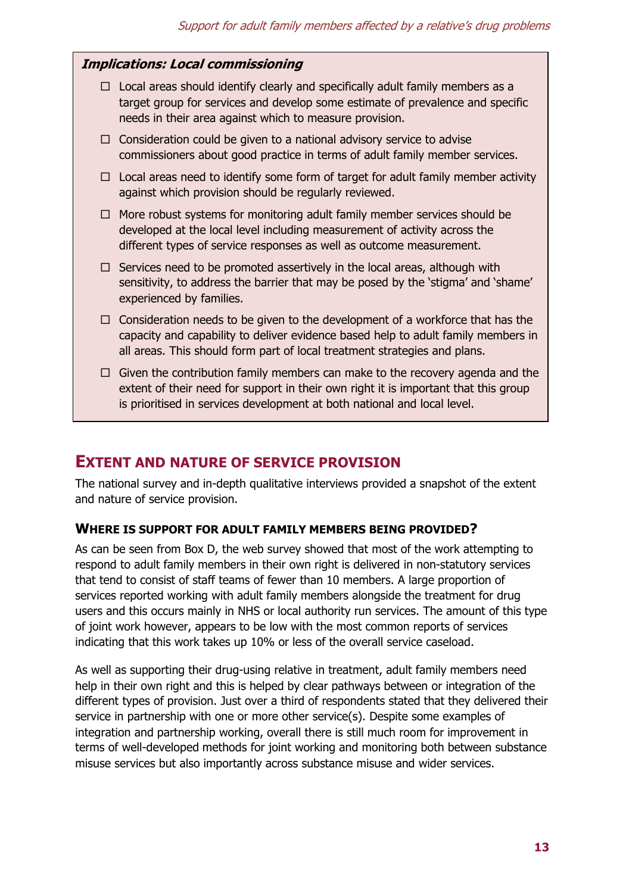# **Implications: Local commissioning**

- $\Box$  Local areas should identify clearly and specifically adult family members as a target group for services and develop some estimate of prevalence and specific needs in their area against which to measure provision.
- $\Box$  Consideration could be given to a national advisory service to advise commissioners about good practice in terms of adult family member services.
- $\Box$  Local areas need to identify some form of target for adult family member activity against which provision should be regularly reviewed.
- $\Box$  More robust systems for monitoring adult family member services should be developed at the local level including measurement of activity across the different types of service responses as well as outcome measurement.
- $\Box$  Services need to be promoted assertively in the local areas, although with sensitivity, to address the barrier that may be posed by the 'stigma' and 'shame' experienced by families.
- $\Box$  Consideration needs to be given to the development of a workforce that has the capacity and capability to deliver evidence based help to adult family members in all areas. This should form part of local treatment strategies and plans.
- $\Box$  Given the contribution family members can make to the recovery agenda and the extent of their need for support in their own right it is important that this group is prioritised in services development at both national and local level.

# **EXTENT AND NATURE OF SERVICE PROVISION**

The national survey and in-depth qualitative interviews provided a snapshot of the extent and nature of service provision.

#### **WHERE IS SUPPORT FOR ADULT FAMILY MEMBERS BEING PROVIDED?**

As can be seen from Box D, the web survey showed that most of the work attempting to respond to adult family members in their own right is delivered in non-statutory services that tend to consist of staff teams of fewer than 10 members. A large proportion of services reported working with adult family members alongside the treatment for drug users and this occurs mainly in NHS or local authority run services. The amount of this type of joint work however, appears to be low with the most common reports of services indicating that this work takes up 10% or less of the overall service caseload.

As well as supporting their drug-using relative in treatment, adult family members need help in their own right and this is helped by clear pathways between or integration of the different types of provision. Just over a third of respondents stated that they delivered their service in partnership with one or more other service(s). Despite some examples of integration and partnership working, overall there is still much room for improvement in terms of well-developed methods for joint working and monitoring both between substance misuse services but also importantly across substance misuse and wider services.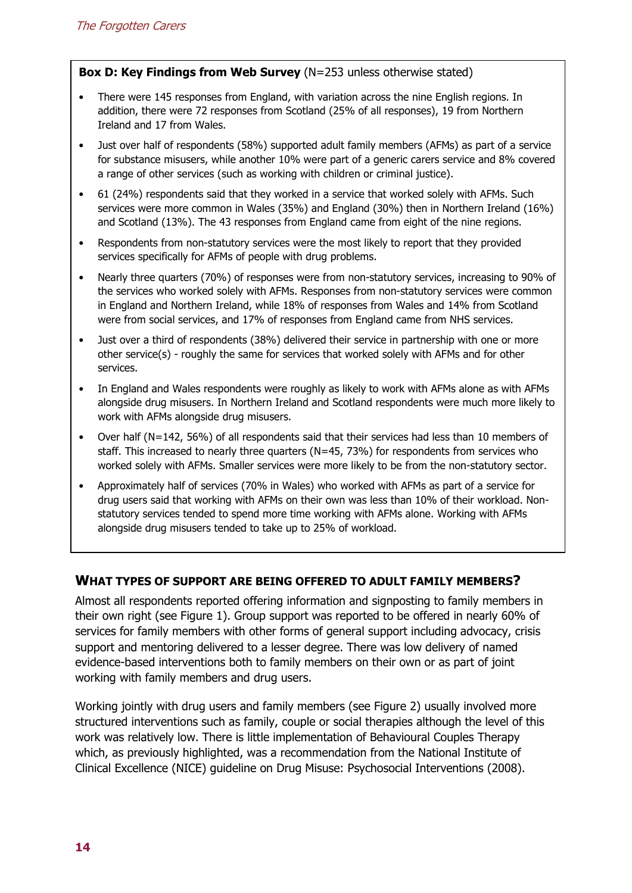#### **Box D: Key Findings from Web Survey** (N=253 unless otherwise stated)

- There were 145 responses from England, with variation across the nine English regions. In addition, there were 72 responses from Scotland (25% of all responses), 19 from Northern Ireland and 17 from Wales.
- Just over half of respondents (58%) supported adult family members (AFMs) as part of a service for substance misusers, while another 10% were part of a generic carers service and 8% covered a range of other services (such as working with children or criminal justice).
- 61 (24%) respondents said that they worked in a service that worked solely with AFMs. Such services were more common in Wales (35%) and England (30%) then in Northern Ireland (16%) and Scotland (13%). The 43 responses from England came from eight of the nine regions.
- Respondents from non-statutory services were the most likely to report that they provided services specifically for AFMs of people with drug problems.
- Nearly three quarters (70%) of responses were from non-statutory services, increasing to 90% of the services who worked solely with AFMs. Responses from non-statutory services were common in England and Northern Ireland, while 18% of responses from Wales and 14% from Scotland were from social services, and 17% of responses from England came from NHS services.
- Just over a third of respondents (38%) delivered their service in partnership with one or more other service(s) - roughly the same for services that worked solely with AFMs and for other services.
- In England and Wales respondents were roughly as likely to work with AFMs alone as with AFMs alongside drug misusers. In Northern Ireland and Scotland respondents were much more likely to work with AFMs alongside drug misusers.
- Over half (N=142, 56%) of all respondents said that their services had less than 10 members of staff. This increased to nearly three quarters (N=45, 73%) for respondents from services who worked solely with AFMs. Smaller services were more likely to be from the non-statutory sector.
- Approximately half of services (70% in Wales) who worked with AFMs as part of a service for drug users said that working with AFMs on their own was less than 10% of their workload. Nonstatutory services tended to spend more time working with AFMs alone. Working with AFMs alongside drug misusers tended to take up to 25% of workload.

# **WHAT TYPES OF SUPPORT ARE BEING OFFERED TO ADULT FAMILY MEMBERS?**

Almost all respondents reported offering information and signposting to family members in their own right (see Figure 1). Group support was reported to be offered in nearly 60% of services for family members with other forms of general support including advocacy, crisis support and mentoring delivered to a lesser degree. There was low delivery of named evidence-based interventions both to family members on their own or as part of joint working with family members and drug users.

Working jointly with drug users and family members (see Figure 2) usually involved more structured interventions such as family, couple or social therapies although the level of this work was relatively low. There is little implementation of Behavioural Couples Therapy which, as previously highlighted, was a recommendation from the National Institute of Clinical Excellence (NICE) guideline on Drug Misuse: Psychosocial Interventions (2008).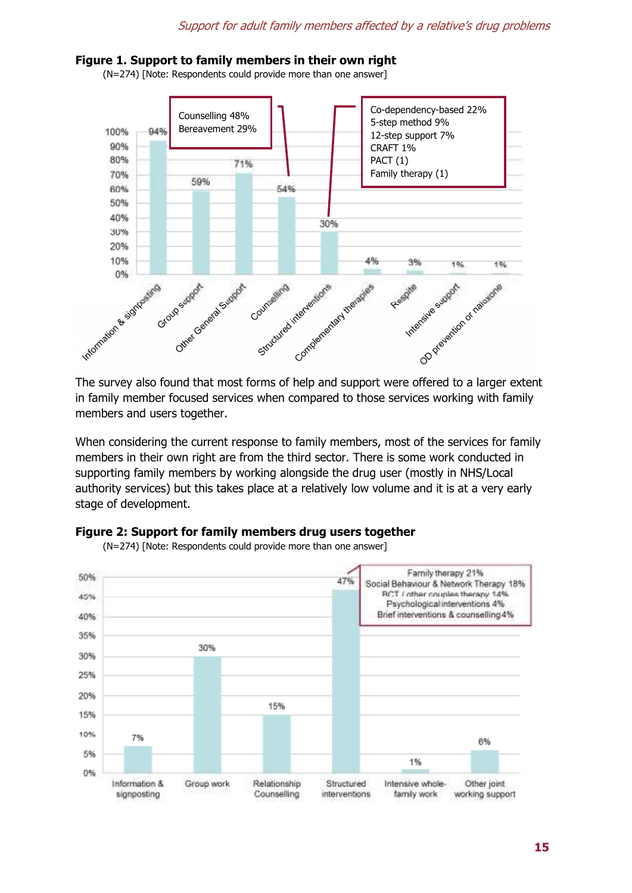#### **Figure 1. Support to family members in their own right**

(N=274) [Note: Respondents could provide more than one answer]



in family member focused services when compared to those services working with family members and users together.

When considering the current response to family members, most of the services for family members in their own right are from the third sector. There is some work conducted in supporting family members by working alongside the drug user (mostly in NHS/Local authority services) but this takes place at a relatively low volume and it is at a very early stage of development.



#### **Figure 2: Support for family members drug users together**

(N=274) [Note: Respondents could provide more than one answer]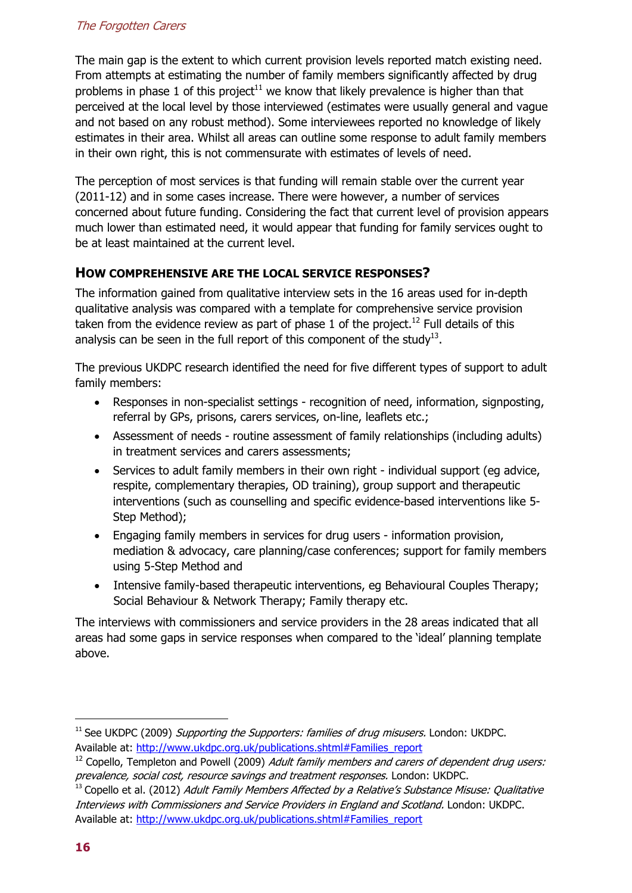# The Forgotten Carers

The main gap is the extent to which current provision levels reported match existing need. From attempts at estimating the number of family members significantly affected by drug problems in phase 1 of this project<sup>11</sup> we know that likely prevalence is higher than that perceived at the local level by those interviewed (estimates were usually general and vague and not based on any robust method). Some interviewees reported no knowledge of likely estimates in their area. Whilst all areas can outline some response to adult family members in their own right, this is not commensurate with estimates of levels of need.

The perception of most services is that funding will remain stable over the current year (2011-12) and in some cases increase. There were however, a number of services concerned about future funding. Considering the fact that current level of provision appears much lower than estimated need, it would appear that funding for family services ought to be at least maintained at the current level.

# **HOW COMPREHENSIVE ARE THE LOCAL SERVICE RESPONSES?**

The information gained from qualitative interview sets in the 16 areas used for in-depth qualitative analysis was compared with a template for comprehensive service provision taken from the evidence review as part of phase 1 of the project.<sup>12</sup> Full details of this analysis can be seen in the full report of this component of the study $^{13}$ .

The previous UKDPC research identified the need for five different types of support to adult family members:

- Responses in non-specialist settings recognition of need, information, signposting, referral by GPs, prisons, carers services, on-line, leaflets etc.;
- Assessment of needs routine assessment of family relationships (including adults) in treatment services and carers assessments;
- Services to adult family members in their own right individual support (eg advice, respite, complementary therapies, OD training), group support and therapeutic interventions (such as counselling and specific evidence-based interventions like 5- Step Method);
- Engaging family members in services for drug users information provision, mediation & advocacy, care planning/case conferences; support for family members using 5-Step Method and
- Intensive family-based therapeutic interventions, eg Behavioural Couples Therapy; Social Behaviour & Network Therapy; Family therapy etc.

The interviews with commissioners and service providers in the 28 areas indicated that all areas had some gaps in service responses when compared to the 'ideal' planning template above.

1

 $11$  See UKDPC (2009) Supporting the Supporters: families of drug misusers. London: UKDPC. Available at: http://www.ukdpc.org.uk/publications.shtml#Families\_report

 $12$  Copello, Templeton and Powell (2009) Adult family members and carers of dependent drug users: prevalence, social cost, resource savings and treatment responses. London: UKDPC.

 $13$  Copello et al. (2012) Adult Family Members Affected by a Relative's Substance Misuse: Qualitative Interviews with Commissioners and Service Providers in England and Scotland. London: UKDPC. Available at: http://www.ukdpc.org.uk/publications.shtml#Families\_report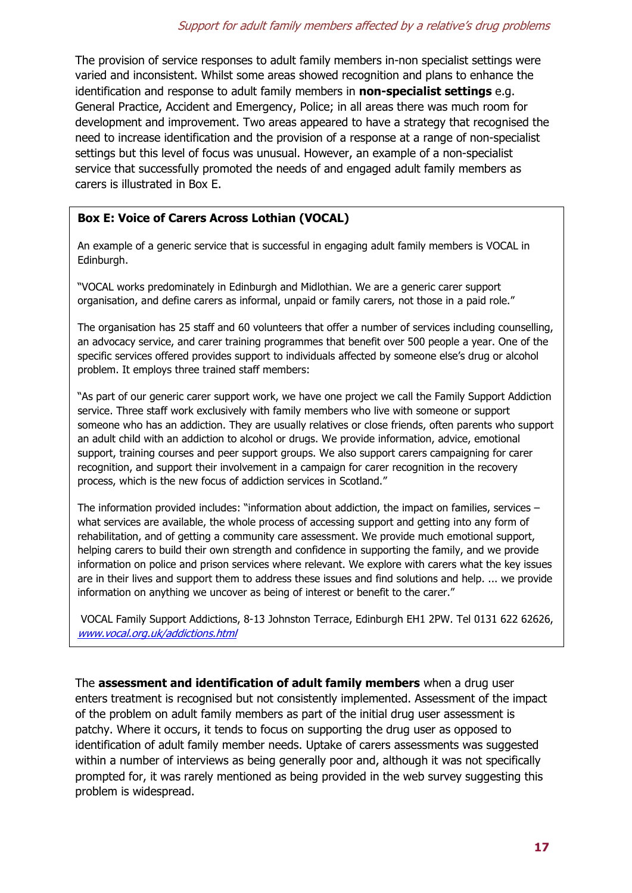The provision of service responses to adult family members in-non specialist settings were varied and inconsistent. Whilst some areas showed recognition and plans to enhance the identification and response to adult family members in **non-specialist settings** e.g. General Practice, Accident and Emergency, Police; in all areas there was much room for development and improvement. Two areas appeared to have a strategy that recognised the need to increase identification and the provision of a response at a range of non-specialist settings but this level of focus was unusual. However, an example of a non-specialist service that successfully promoted the needs of and engaged adult family members as carers is illustrated in Box E.

# **Box E: Voice of Carers Across Lothian (VOCAL)**

An example of a generic service that is successful in engaging adult family members is VOCAL in Edinburgh.

"VOCAL works predominately in Edinburgh and Midlothian. We are a generic carer support organisation, and define carers as informal, unpaid or family carers, not those in a paid role."

The organisation has 25 staff and 60 volunteers that offer a number of services including counselling, an advocacy service, and carer training programmes that benefit over 500 people a year. One of the specific services offered provides support to individuals affected by someone else's drug or alcohol problem. It employs three trained staff members:

"As part of our generic carer support work, we have one project we call the Family Support Addiction service. Three staff work exclusively with family members who live with someone or support someone who has an addiction. They are usually relatives or close friends, often parents who support an adult child with an addiction to alcohol or drugs. We provide information, advice, emotional support, training courses and peer support groups. We also support carers campaigning for carer recognition, and support their involvement in a campaign for carer recognition in the recovery process, which is the new focus of addiction services in Scotland."

The information provided includes: "information about addiction, the impact on families, services what services are available, the whole process of accessing support and getting into any form of rehabilitation, and of getting a community care assessment. We provide much emotional support, helping carers to build their own strength and confidence in supporting the family, and we provide information on police and prison services where relevant. We explore with carers what the key issues are in their lives and support them to address these issues and find solutions and help. ... we provide information on anything we uncover as being of interest or benefit to the carer."

 VOCAL Family Support Addictions, 8-13 Johnston Terrace, Edinburgh EH1 2PW. Tel 0131 622 62626, www.vocal.org.uk/addictions.html

The **assessment and identification of adult family members** when a drug user enters treatment is recognised but not consistently implemented. Assessment of the impact of the problem on adult family members as part of the initial drug user assessment is patchy. Where it occurs, it tends to focus on supporting the drug user as opposed to identification of adult family member needs. Uptake of carers assessments was suggested within a number of interviews as being generally poor and, although it was not specifically prompted for, it was rarely mentioned as being provided in the web survey suggesting this problem is widespread.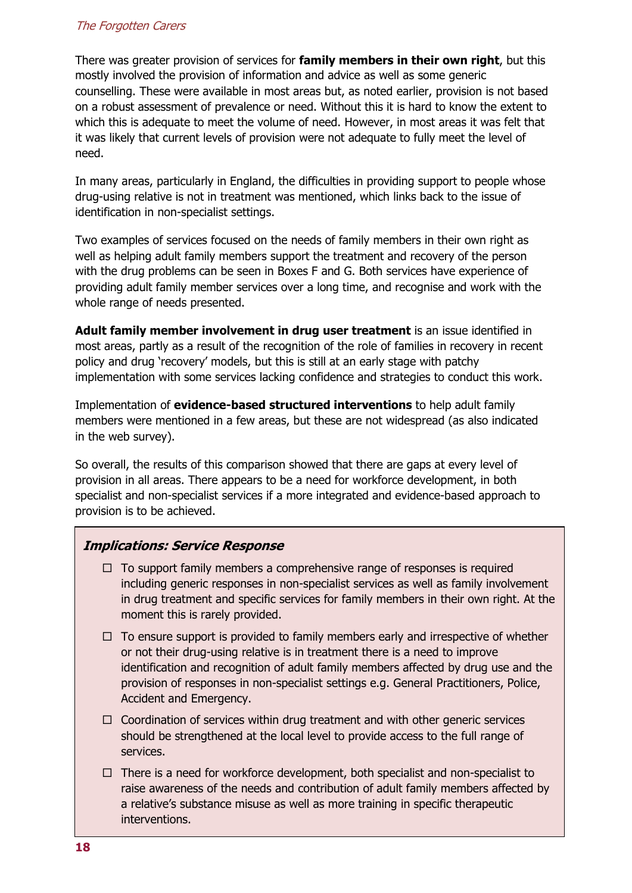#### The Forgotten Carers

There was greater provision of services for **family members in their own right**, but this mostly involved the provision of information and advice as well as some generic counselling. These were available in most areas but, as noted earlier, provision is not based on a robust assessment of prevalence or need. Without this it is hard to know the extent to which this is adequate to meet the volume of need. However, in most areas it was felt that it was likely that current levels of provision were not adequate to fully meet the level of need.

In many areas, particularly in England, the difficulties in providing support to people whose drug-using relative is not in treatment was mentioned, which links back to the issue of identification in non-specialist settings.

Two examples of services focused on the needs of family members in their own right as well as helping adult family members support the treatment and recovery of the person with the drug problems can be seen in Boxes F and G. Both services have experience of providing adult family member services over a long time, and recognise and work with the whole range of needs presented.

**Adult family member involvement in drug user treatment** is an issue identified in most areas, partly as a result of the recognition of the role of families in recovery in recent policy and drug 'recovery' models, but this is still at an early stage with patchy implementation with some services lacking confidence and strategies to conduct this work.

Implementation of **evidence-based structured interventions** to help adult family members were mentioned in a few areas, but these are not widespread (as also indicated in the web survey).

So overall, the results of this comparison showed that there are gaps at every level of provision in all areas. There appears to be a need for workforce development, in both specialist and non-specialist services if a more integrated and evidence-based approach to provision is to be achieved.

# **Implications: Service Response**

- $\Box$  To support family members a comprehensive range of responses is required including generic responses in non-specialist services as well as family involvement in drug treatment and specific services for family members in their own right. At the moment this is rarely provided.
- $\Box$  To ensure support is provided to family members early and irrespective of whether or not their drug-using relative is in treatment there is a need to improve identification and recognition of adult family members affected by drug use and the provision of responses in non-specialist settings e.g. General Practitioners, Police, Accident and Emergency.
- $\Box$  Coordination of services within drug treatment and with other generic services should be strengthened at the local level to provide access to the full range of services.
- $\Box$  There is a need for workforce development, both specialist and non-specialist to raise awareness of the needs and contribution of adult family members affected by a relative's substance misuse as well as more training in specific therapeutic interventions.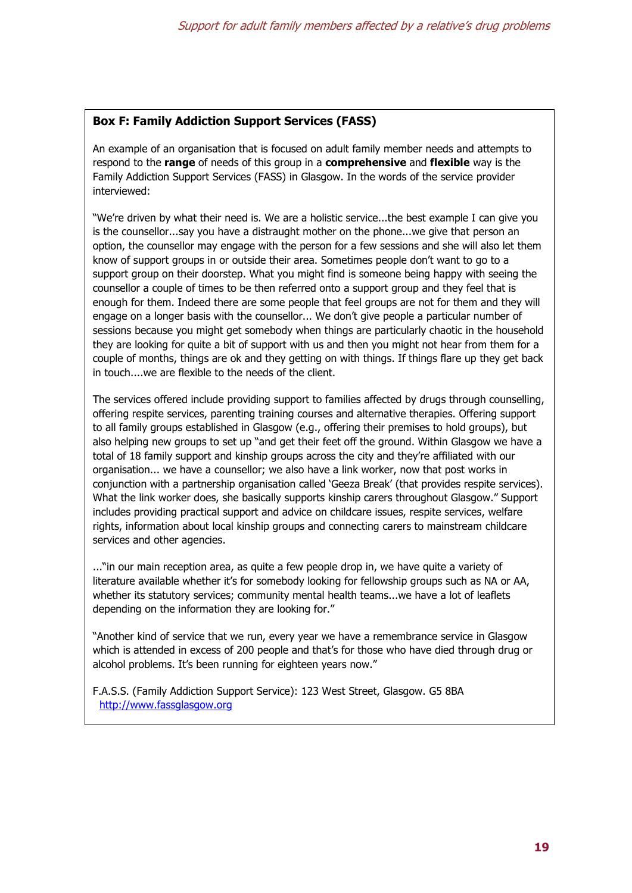#### **Box F: Family Addiction Support Services (FASS)**

An example of an organisation that is focused on adult family member needs and attempts to respond to the **range** of needs of this group in a **comprehensive** and **flexible** way is the Family Addiction Support Services (FASS) in Glasgow. In the words of the service provider interviewed:

"We're driven by what their need is. We are a holistic service...the best example I can give you is the counsellor...say you have a distraught mother on the phone...we give that person an option, the counsellor may engage with the person for a few sessions and she will also let them know of support groups in or outside their area. Sometimes people don't want to go to a support group on their doorstep. What you might find is someone being happy with seeing the counsellor a couple of times to be then referred onto a support group and they feel that is enough for them. Indeed there are some people that feel groups are not for them and they will engage on a longer basis with the counsellor... We don't give people a particular number of sessions because you might get somebody when things are particularly chaotic in the household they are looking for quite a bit of support with us and then you might not hear from them for a couple of months, things are ok and they getting on with things. If things flare up they get back in touch....we are flexible to the needs of the client.

The services offered include providing support to families affected by drugs through counselling, offering respite services, parenting training courses and alternative therapies. Offering support to all family groups established in Glasgow (e.g., offering their premises to hold groups), but also helping new groups to set up "and get their feet off the ground. Within Glasgow we have a total of 18 family support and kinship groups across the city and they're affiliated with our organisation... we have a counsellor; we also have a link worker, now that post works in conjunction with a partnership organisation called 'Geeza Break' (that provides respite services). What the link worker does, she basically supports kinship carers throughout Glasgow." Support includes providing practical support and advice on childcare issues, respite services, welfare rights, information about local kinship groups and connecting carers to mainstream childcare services and other agencies.

..."in our main reception area, as quite a few people drop in, we have quite a variety of literature available whether it's for somebody looking for fellowship groups such as NA or AA, whether its statutory services; community mental health teams...we have a lot of leaflets depending on the information they are looking for."

"Another kind of service that we run, every year we have a remembrance service in Glasgow which is attended in excess of 200 people and that's for those who have died through drug or alcohol problems. It's been running for eighteen years now."

F.A.S.S. (Family Addiction Support Service): 123 West Street, Glasgow. G5 8BA http://www.fassglasgow.org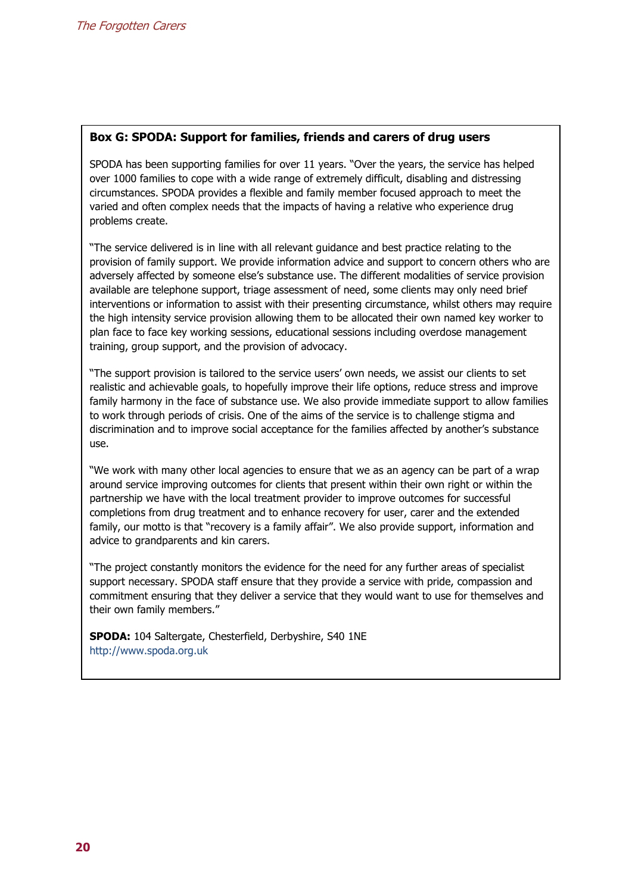#### **Box G: SPODA: Support for families, friends and carers of drug users**

SPODA has been supporting families for over 11 years. "Over the years, the service has helped over 1000 families to cope with a wide range of extremely difficult, disabling and distressing circumstances. SPODA provides a flexible and family member focused approach to meet the varied and often complex needs that the impacts of having a relative who experience drug problems create.

"The service delivered is in line with all relevant guidance and best practice relating to the provision of family support. We provide information advice and support to concern others who are adversely affected by someone else's substance use. The different modalities of service provision available are telephone support, triage assessment of need, some clients may only need brief interventions or information to assist with their presenting circumstance, whilst others may require the high intensity service provision allowing them to be allocated their own named key worker to plan face to face key working sessions, educational sessions including overdose management training, group support, and the provision of advocacy.

"The support provision is tailored to the service users' own needs, we assist our clients to set realistic and achievable goals, to hopefully improve their life options, reduce stress and improve family harmony in the face of substance use. We also provide immediate support to allow families to work through periods of crisis. One of the aims of the service is to challenge stigma and discrimination and to improve social acceptance for the families affected by another's substance use.

"We work with many other local agencies to ensure that we as an agency can be part of a wrap around service improving outcomes for clients that present within their own right or within the partnership we have with the local treatment provider to improve outcomes for successful completions from drug treatment and to enhance recovery for user, carer and the extended family, our motto is that "recovery is a family affair". We also provide support, information and advice to grandparents and kin carers.

"The project constantly monitors the evidence for the need for any further areas of specialist support necessary. SPODA staff ensure that they provide a service with pride, compassion and commitment ensuring that they deliver a service that they would want to use for themselves and their own family members."

**SPODA:** 104 Saltergate, Chesterfield, Derbyshire, S40 1NE http://www.spoda.org.uk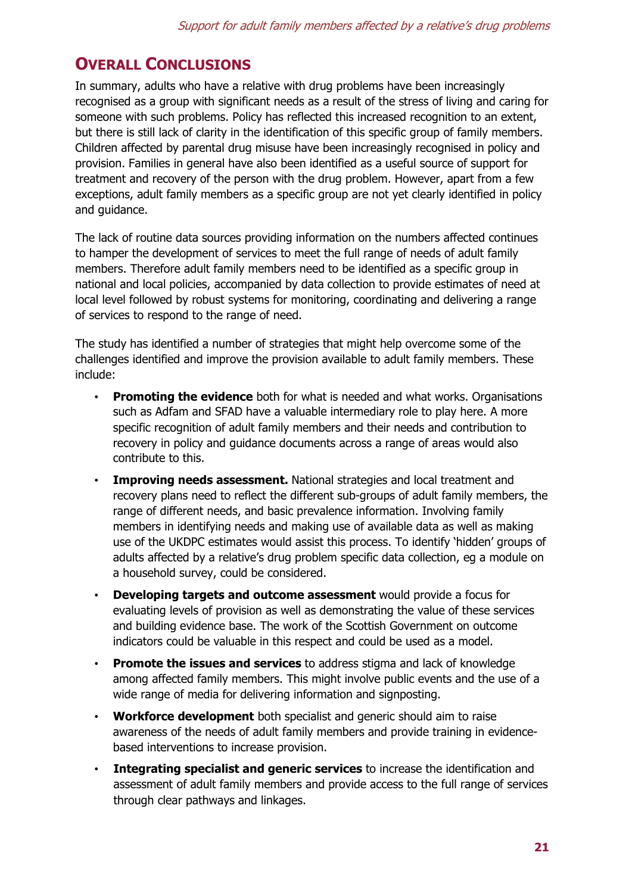# **OVERALL CONCLUSIONS**

In summary, adults who have a relative with drug problems have been increasingly recognised as a group with significant needs as a result of the stress of living and caring for someone with such problems. Policy has reflected this increased recognition to an extent, but there is still lack of clarity in the identification of this specific group of family members. Children affected by parental drug misuse have been increasingly recognised in policy and provision. Families in general have also been identified as a useful source of support for treatment and recovery of the person with the drug problem. However, apart from a few exceptions, adult family members as a specific group are not yet clearly identified in policy and guidance.

The lack of routine data sources providing information on the numbers affected continues to hamper the development of services to meet the full range of needs of adult family members. Therefore adult family members need to be identified as a specific group in national and local policies, accompanied by data collection to provide estimates of need at local level followed by robust systems for monitoring, coordinating and delivering a range of services to respond to the range of need.

The study has identified a number of strategies that might help overcome some of the challenges identified and improve the provision available to adult family members. These include:

- **Promoting the evidence** both for what is needed and what works. Organisations such as Adfam and SFAD have a valuable intermediary role to play here. A more specific recognition of adult family members and their needs and contribution to recovery in policy and guidance documents across a range of areas would also contribute to this.
- **Improving needs assessment.** National strategies and local treatment and recovery plans need to reflect the different sub-groups of adult family members, the range of different needs, and basic prevalence information. Involving family members in identifying needs and making use of available data as well as making use of the UKDPC estimates would assist this process. To identify 'hidden' groups of adults affected by a relative's drug problem specific data collection, eg a module on a household survey, could be considered.
- **Developing targets and outcome assessment** would provide a focus for evaluating levels of provision as well as demonstrating the value of these services and building evidence base. The work of the Scottish Government on outcome indicators could be valuable in this respect and could be used as a model.
- **Promote the issues and services** to address stigma and lack of knowledge among affected family members. This might involve public events and the use of a wide range of media for delivering information and signposting.
- **Workforce development** both specialist and generic should aim to raise awareness of the needs of adult family members and provide training in evidencebased interventions to increase provision.
- **Integrating specialist and generic services** to increase the identification and assessment of adult family members and provide access to the full range of services through clear pathways and linkages.